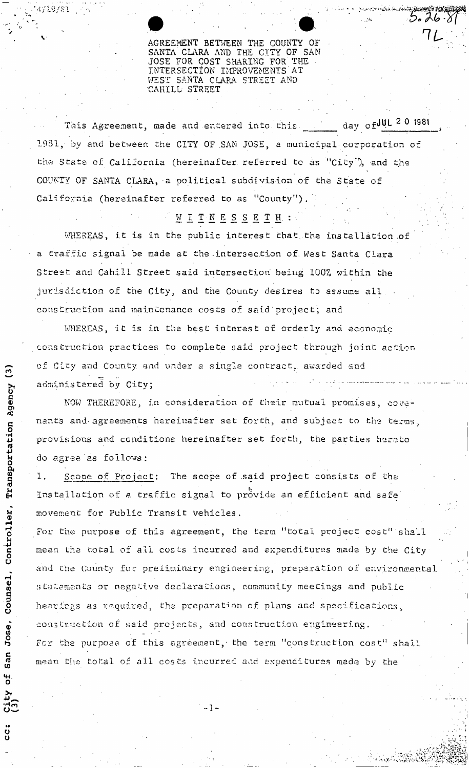*1 L* AGREEMENT BETWEEN THE COUNTY OF SANTA CLARA AND THE CITY OF SAN JOSE FOR COST SHARING FOR THE INTERSECTION IMPROVEMENTS AT WEST SANTA CLARA STREET AND CAKILL STREET

This Agreement, made and entered into this  $\frac{1}{\sqrt{2}}$  day of  $\frac{JUL}{20}$  1981 1981, by and between the CITY OF .SAN JOSE, a municipal corporation of the State of California (hereinafter referred to as "City"), and the COUNTY OF SANTA CLARA, a political subdivision of the State of California (hereinafter referred to as "County").

# $M$  <u>I</u>  $T$   $M$   $E$   $S$   $S$   $E$   $T$   $H$  :

WHEREAS, it is in the public interest that, the installation of a traffic signal be made at the-intersection of. West Santa Clara Street and Cahill Street said intersection' being 100% within the jurisdiction of the City, and the County desires to assume all construction and maintenance, costs of said project; and

WHEREAS, it is in the best interest of orderly and economic construction practices to complete said project through joint action  $\sigma$  of City and County and under a single contract, awarded and administered by City;  $\Omega$ 

NOW THEREFORE, in consideration of their mutual promises, covenants and agreements hereinafter set forth, and subject to the terms, provisions and conditions hereinafter set forth, the parties hereto do agree as follows:

1. Scope of Project: The scope of said project consists of the Installation of a traffic signal to provide an efficient and safe movement for Public Transit vehicles.

For the purpose of this agreement, the term "total project cost" shall mean the total of all costs incurred and expenditures made by the City and the County for preliminary engineering, preparation of environmental statements or negative declarations, community meetings and public hearings as required, the preparation of plans and specifications, construction of said projects, and construction engineering. For the purpose of this agreement, the term "construction cost" shall mean the total of all costs incurred aad expenditures made by the

> saa ነ<br>ነ

 $5.26.8$ 

**1-**

 $\tilde{E}$ *<*  c **o**  Controller, Counsel, Jose San **of** City<br>(3)  $\ddot{\rm c}$ 

14729781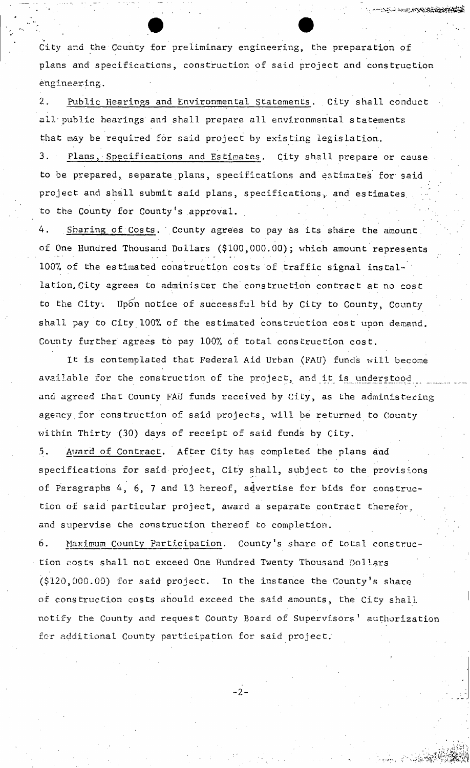City and the Ccunty for preliminary engineering, the preparation of plans and specifications, construction of said project and construction engineering.

2. Public Hearings and Environmental Statements. City shall conduct all'public hearings and shall prepare all environmental statements that may be required for said project by existing legislation.

3. Plans, Specifications and Estimates. City shall prepare or cause to be prepared, separate plans, specifications and estimates for said project and shall submit said plans, specifications, and estimates. to the County for County's approval.

4. Sharing of Costs. County agrees to pay as its share the amount, of One Hundred Thousand Dollars (\$100,000.00); which amount represents 100% of the estimated construction costs of traffic signal installation. City agrees to administer the construction contract at no cost to the City. Upon notice of successful bid by City to County, County shall pay to City 100% of the estimated construction cost upon demand. County further agrees to pay 100% of total construction cost.

It is contemplated that Federal Aid Urban (FAU) funds will become available for the construction of the project, and it is understood and agreed that County FAU funds received by City, as the administering agency.for construction of said projects, will be returned to County within Thirty (30) days of receipt of said funds by City.

5. Award of Contract. After City has completed the plans and specifications for said project, City shall, subject to the provisions of Paragraphs 4, 6, 7 and 13 hereof, advertise for bids for construction of said particular project, award a separate contract therefor, and supervise the construction thereof to completion.

Maximum County Participation. County's share of total construc-6. tion costs shall not exceed One Hundred Twenty Thousand Dollars (\$120,000.00) for said project. In the instance the County's share of construction costs should exceed the said amounts, the City shall notify the County and request County Board of Supervisors' authorization for additional County participation for said project;

*- 2 -*

*i* 

**BELL-ROLLEY STATES SERVERED**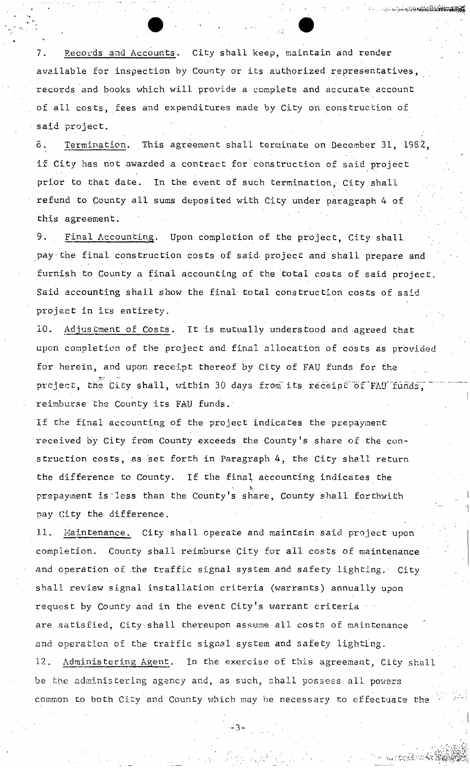7. Records and Accounts. City shall keep, maintain and render available for inspection by County or its authorized representatives, records and books which will provide a complete and accurate account of all costs, fees and expenditures made by City on. cons truetion of said project.

ww.itterations.com

s terdésia (AT)

8. Termination. This agreement shall terminate on December 31, 1982, if City has not awarded a contract for construction of said project . The contract of the contract of the contract of the contract of the contract of the contract of the contract of the contract of the contract of the contract of the contract of the contract of the contract of the contrac prior to that date. In the event of such termination, City shall refund to County all sums deposited with City under paragraph 4 of this agreement.

9. Final Accounting. Upon completion of the project, City shall, pay-the final construction costs of said project and shall prepare and furnish to County a final accounting of the total costs of said project. Said accounting shall show the final total construction costs of said project in its entirety.

10. Adjustment of Costs. It is mutually understood and agreed that upon completion of the project and final allocation of costs as provided for herein, and upon receipt thereof by City of FAU funds for the project, the City shall, within 30 days from its receipt of FAU funds. reimburse the County its FAU funds.

If che final accounting of the project indicates the prepayment received by City from County exceeds the County's share of the construction costs, as set forth in Paragraph 4, the City shall return the difference to County. If the final accounting indicates the  $\mathcal{P} = \{ \mathcal{P} \}$  $p$ repayment is defined in the County share,  $\frac{1}{2}$  share,  $\frac{1}{2}$  shall forthwith  $\frac{1}{2}$ pay City the difference.

Maintenance. City shall operate and maintain said project upon 11. completion. County shall reimburse City for all costs of maintenance and operation of the traffic signal system and safety lighting. City shall review signal installation criteria (warrants) annually upon request by County and in the event City s warrant criteria are. satisfied, City shall thereupon assume all costs of maintenance and operation of the traffic signal system and safety lighting. 12. Administering Agent. In the exercise of this agreement, City shall be the administering agency and, as such, shall possess all powers common to both City and County which may be necessary to effectuate the

**-3-**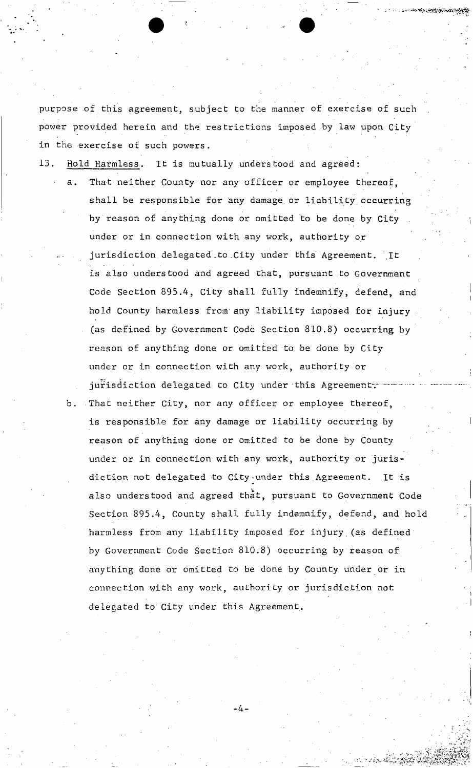purpose of this agreement, subject to the manner of exercise of such power provided herein and the restrictions imposed by law upon City in the exercise of such powers.

13. Hold Harmless. It is mutually understood and agreed:

- That neither County nor any officer or employee thereof, shall be responsible for any damage or liability occurring by reason of anything done or omitted to be done by City under or in connection with any work, authority or jurisdiction delegated to City under this Agreement. It is also understood and agreed that, pursuant to Government Code Section 895.4, City shall fully indemnify, defend, and hold County harmless from any liability imposed for injury (as defined by Government Code Section 810.8) occurring by reason of anything done or omitted to be done by City under or in connection with any work, authority or jurisdiction delegated to City under this Agreement.
- b. That neither City, nor any officer or employee thereof, is responsible for any damage or liability occurring by reason of anything done or omitted to be done by County under or in connection with any work, authority or jurisdiction not delegated to City-under this.Agreement. It is also understood and agreed that, pursuant to Government Code Section 895.4, County shall fully indemnify, defend, and hold harmless from any liability imposed for injury (as defined by Government Code Section 810.8) occurring by reason of anything done or omitted to be done by County under or in connection with any work, authority or jurisdiction not delegated to City under this Agreement.

**-4-**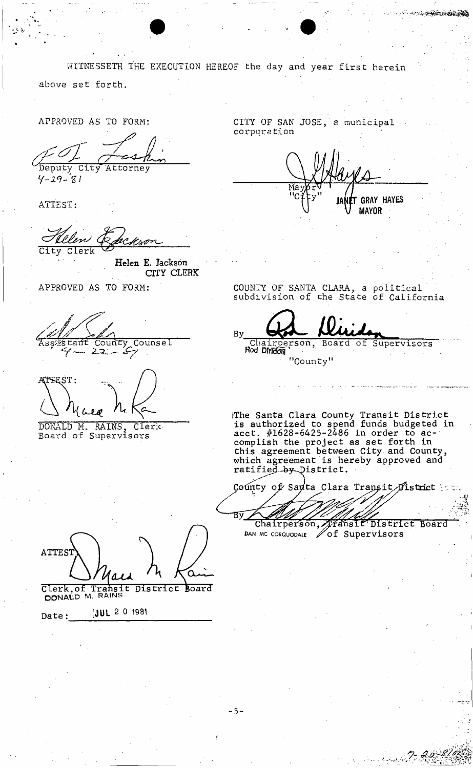WITNESSETH THE EXECUTION HEREOF the day and year first herein above set forth. APPROVED AS TO FORM: CITY OF SAN JOSE, a municipal corporation Deputy City Attorney  $4 - 29 - 81$ **GRAY HAYES** ATTEST: **MAYOR** City Clerk Helen E. Jackson CITY CLERK COUNTY OF SANTA CLARA, a political<br>subdivision of the State of California APPROVED AS TO FORM: **By** County Counsel Chairperson, tant Board  $\overline{\circ}$ f Supervisors Rod Diridon  $\frac{2}{2}$ "County" ATTEST: The Santa Clara County Transit District<br>is authorized to spend funds budgeted in<br>acct. #1628-6425-2486 in order to ac-DONALD M. RAINS, Clerence Board of Supervisors Clerk complish the project as set forth in this agreement between City and County,<br>which agreement is hereby approved and ratified by District. County of Sauta Clara Transit District Bý Fansit District Board Chairperson, DAN MC CORQUODALE **/ Of Supervisors ATTEST** Clerk, of Transit District Board **JUL 2 0 1981** Date:

**Contractions** 

 $-5-$ 

r guerri 27, 29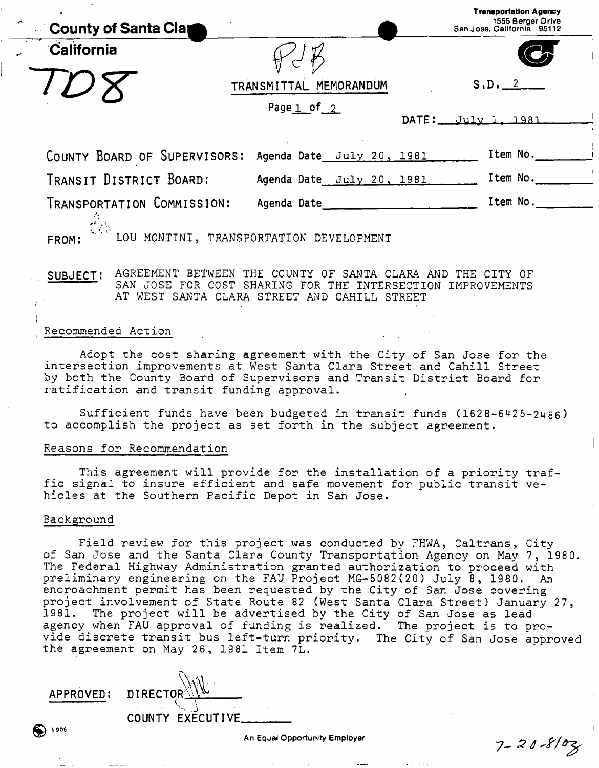| County of Santa Clay         |                                         | <b>Trensportation Agency</b><br>1555 Berger Drive<br>San Jose, California 95112 |
|------------------------------|-----------------------------------------|---------------------------------------------------------------------------------|
| California                   |                                         |                                                                                 |
|                              | TRANSMITTAL MEMORANDUM                  | S.D. 2                                                                          |
|                              | Page $1$ of $2$                         | DATE: July 1, 1981                                                              |
| COUNTY BOARD OF SUPERVISORS: | Agenda Date July 20, 1981               | Item No.                                                                        |
| TRANSIT DISTRICT BOARD:      | Agenda Date July 20, 1981               | Item No.                                                                        |
| TRANSPORTATION COMMISSION:   | Agenda Date                             | Item No.                                                                        |
| FROM:                        | LOU MONTINI, TRANSPORTATION DEVELOPMENT |                                                                                 |

**SUBJECT:** AGREEMENT BETWEEN THE COUNTY OF SANTA CLARA AND THE CITY OF SAN JOSE FOR COST SHARING FOR THE INTERSECTION IMPROVEMENTS AT WEST SANTA CLARA STREET AND CAHILL STREET

### Recommended Action

Adopt the cost sharing agreement with the City of San Jose for the intersection improvements at West Santa Clara Street and Cahill Street by both the County Board of Supervisors and Transit District Board for ratification and transit funding approval.

Sufficient funds have been budgeted in transit funds (1628-6425-2486) to accomplish the project as set forth in the subject agreement.

#### Reasons for Recommendation

This agreement will provide for the installation of a priority traffic signal to insure efficient and safe movement for public transit vehicles at the Southern Pacific Depot in San Jose.

#### Background

1 aoe

Field review for this project was conducted by FHWA, Caltrans, City of San Jose and the Santa Clara County Transportation Agency on May 7, 1980. The Federal Highway Administration granted authorization to proceed with preliminary engineering on the FAU Project MG-5082(20) July 8, 1980. An encroachment permit has been requested by the City of San Jose covering project involvement of State Route 82 (West Santa Clara Street) January 27, 1981. The project will be advertised by the City of San Jose as lead agency when FAU approval of funding is realized. The project is to provide discrete transit bus left-turn priority. The City of San Jose approved the agreement on May 26, 1981 Item 7L.

**APPROVED: DIRECTOR COUNTY EXECUTIVE** 

 $7 - 20 - 8102$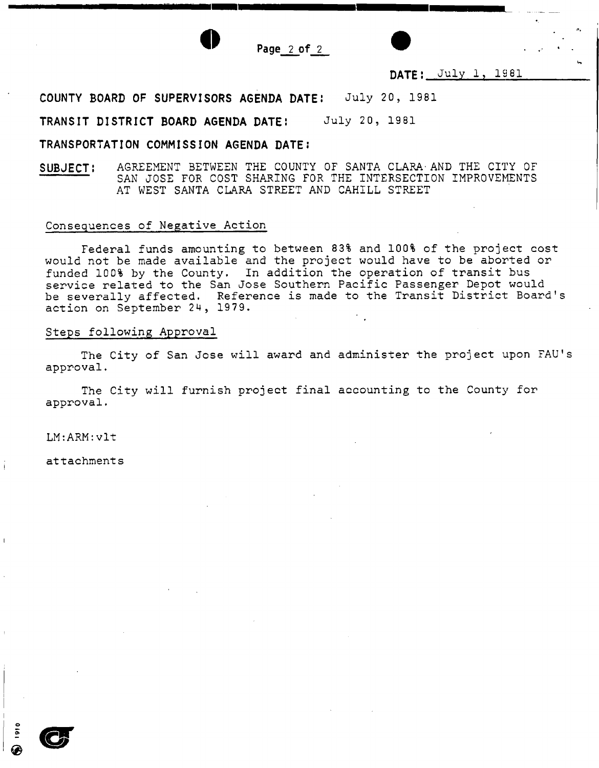Page  $2$  of  $2$ 

# DATE: July 1, 1981

**COUNTY BOARD OF SUPERVISORS AGENDA DATE:** July 20, 1981

**TRANSIT DISTRICT BOARD AGENDA DATE:** July 20, 1981

# **TRANSPORTATION COMMISSION AGENDA DATE:**

**SUBJECT:** AGREEMENT BETWEEN THE COUNTY OF SANTA CLARA-AND THE CITY OF SAN JOSE FOR COST SHARING FOR THE INTERSECTION IMPROVEMENTS AT WEST SANTA CLARA STREET AND CAHILL STREET

### Consequences of Negative Action

Federal funds amounting to between 83% and 100% of the project cost would not be made available and the project would have to be aborted or funded 100% by the County. In addition the operation of transit bus service related to the San Jose Southern Pacific Passenger Depot would be severally affected. Reference is made to the Transit District Board's action on September 24, 1979.

## Steps following Approval

The City of San Jose will award and administer the project upon FAU's approval.

The City will furnish project final accounting to the County for approval.

LM:ARM:vlt

attachments